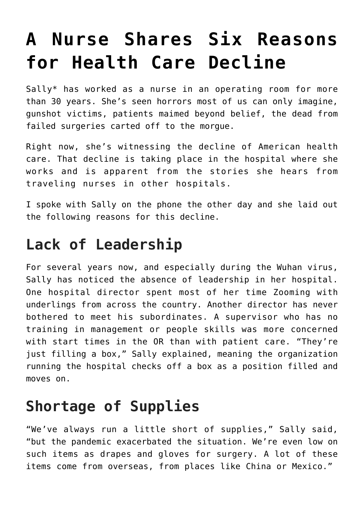# **[A Nurse Shares Six Reasons](https://intellectualtakeout.org/2021/09/a-nurse-shares-six-reasons-for-health-care-decline/) [for Health Care Decline](https://intellectualtakeout.org/2021/09/a-nurse-shares-six-reasons-for-health-care-decline/)**

Sally\* has worked as a nurse in an operating room for more than 30 years. She's seen horrors most of us can only imagine, gunshot victims, patients maimed beyond belief, the dead from failed surgeries carted off to the morgue.

Right now, she's witnessing the decline of American health care. That decline is taking place in the hospital where she works and is apparent from the stories she hears from traveling nurses in other hospitals.

I spoke with Sally on the phone the other day and she laid out the following reasons for this decline.

#### **Lack of Leadership**

For several years now, and especially during the Wuhan virus, Sally has noticed the absence of leadership in her hospital. One hospital director spent most of her time Zooming with underlings from across the country. Another director has never bothered to meet his subordinates. A supervisor who has no training in management or people skills was more concerned with start times in the OR than with patient care. "They're just filling a box," Sally explained, meaning the organization running the hospital checks off a box as a position filled and moves on.

#### **Shortage of Supplies**

"We've always run a little short of supplies," Sally said, "but the pandemic exacerbated the situation. We're even low on such items as drapes and gloves for surgery. A lot of these items come from overseas, from places like China or Mexico."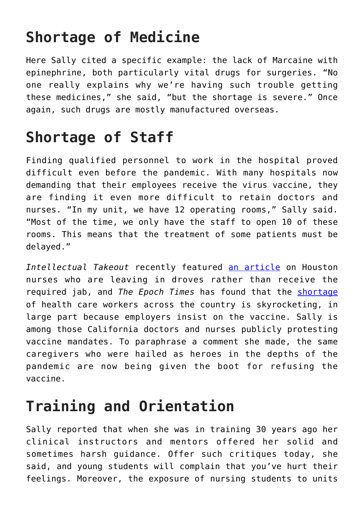### **Shortage of Medicine**

Here Sally cited a specific example: the lack of Marcaine with epinephrine, both particularly vital drugs for surgeries. "No one really explains why we're having such trouble getting these medicines," she said, "but the shortage is severe." Once again, such drugs are mostly manufactured overseas.

### **Shortage of Staff**

Finding qualified personnel to work in the hospital proved difficult even before the pandemic. With many hospitals now demanding that their employees receive the virus vaccine, they are finding it even more difficult to retain doctors and nurses. "In my unit, we have 12 operating rooms," Sally said. "Most of the time, we only have the staff to open 10 of these rooms. This means that the treatment of some patients must be delayed."

*Intellectual Takeout* recently featured [an article](https://www.intellectualtakeout.org/massive-nurse-shortage-hits-houston-after-unvaccinated-fired) on Houston nurses who are leaving in droves rather than receive the required jab, and *The Epoch Times* has found that the [shortage](https://www.theepochtimes.com/mkt_morningbrief/nurses-warn-of-staff-shortages-due-to-covid-19-vaccine-mandates_3963530.html) of health care workers across the country is skyrocketing, in large part because employers insist on the vaccine. Sally is among those California doctors and nurses publicly protesting vaccine mandates. To paraphrase a comment she made, the same caregivers who were hailed as heroes in the depths of the pandemic are now being given the boot for refusing the vaccine.

## **Training and Orientation**

Sally reported that when she was in training 30 years ago her clinical instructors and mentors offered her solid and sometimes harsh guidance. Offer such critiques today, she said, and young students will complain that you've hurt their feelings. Moreover, the exposure of nursing students to units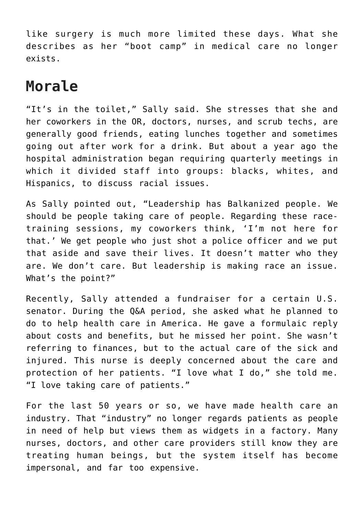like surgery is much more limited these days. What she describes as her "boot camp" in medical care no longer exists.

#### **Morale**

"It's in the toilet," Sally said. She stresses that she and her coworkers in the OR, doctors, nurses, and scrub techs, are generally good friends, eating lunches together and sometimes going out after work for a drink. But about a year ago the hospital administration began requiring quarterly meetings in which it divided staff into groups: blacks, whites, and Hispanics, to discuss racial issues.

As Sally pointed out, "Leadership has Balkanized people. We should be people taking care of people. Regarding these racetraining sessions, my coworkers think, 'I'm not here for that.' We get people who just shot a police officer and we put that aside and save their lives. It doesn't matter who they are. We don't care. But leadership is making race an issue. What's the point?"

Recently, Sally attended a fundraiser for a certain U.S. senator. During the Q&A period, she asked what he planned to do to help health care in America. He gave a formulaic reply about costs and benefits, but he missed her point. She wasn't referring to finances, but to the actual care of the sick and injured. This nurse is deeply concerned about the care and protection of her patients. "I love what I do," she told me. "I love taking care of patients."

For the last 50 years or so, we have made health care an industry. That "industry" no longer regards patients as people in need of help but views them as widgets in a factory. Many nurses, doctors, and other care providers still know they are treating human beings, but the system itself has become impersonal, and far too expensive.